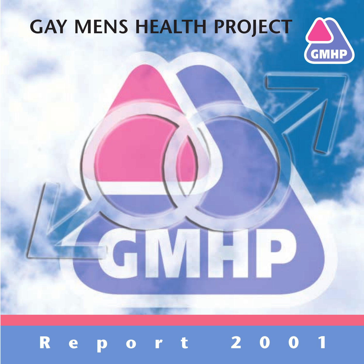# **GAY MENS HEALTH PROJECT**





EN P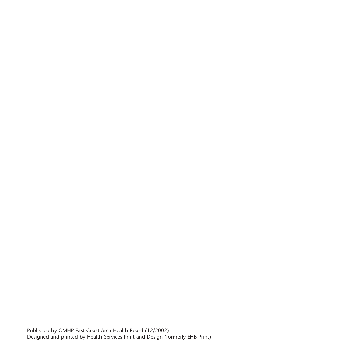Published by GMHP East Coast Area Health Board (12/2002) Designed and printed by Health Services Print and Design (formerly EHB Print)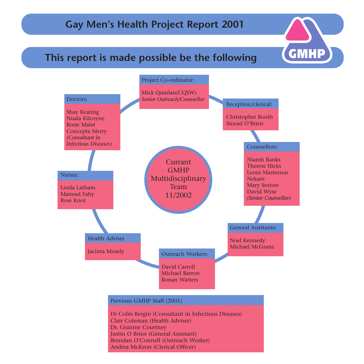## **Gay Men's Health Project Report 2001**

## **This report is made possible be the following**

 $\mathsf{GMMP}\mathsf{)}$ 

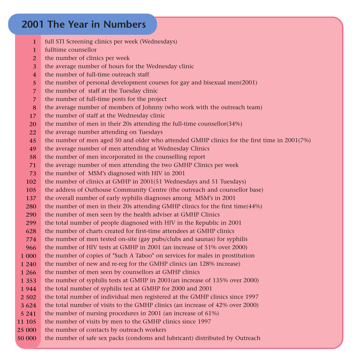## **2001 The Year in Numbers**

- full STI Screening clinics per week (Wednesdays) **1**
- fulltime counsellor**1**
- the number of clinics per week **2**
- the average number of hours for the Wednesday clinic **3**
- the number of full-time outreach staff**4**
- the number of personal development courses for gay and bisexual men(2001) **5**
- the number of staff at the Tuesday clinic **7**
- the number of full-time posts for the project **7**
- the average number of members of Johnny (who work with the outreach team) **8**
- the number of staff at the Wednesday clinic **17**
- the number of men in their 20s attending the full-time counsellor(34%) **20**
- the average number attending on Tuesdays **22**
- the number of men aged 50 and older who attended GMHP clinics for the first time in 2001(7%) **45**
- the average number of men attending at Wednesday Clinics **49**
- the number of men incorporated in the counselling report **58**
- the average number of men attending the two GMHP Clinics per week **71**
- the number of MSM's diagnosed with HIV in 2001 **73**
- the number of clinics at GMHP in 2001(51 Wednesdays and 51 Tuesdays) **102**
- the address of Outhouse Community Centre (the outreach and counsellor base) **105**
- the overall number of early syphilis diagnoses among MSM's in 2001 **137**
- the number of men in their 20s attending GMHP clinics for the first time(44%) **280**
- the number of men seen by the health adviser at GMHP Clinics **290**
- the total number of people diagnosed with HIV in the Republic in 2001 **299**
- the number of charts created for first-time attendees at GMHP clinics**628**
- the number of men tested on-site (gay pubs/clubs and saunas) for syphilis **774**
- the number of HIV tests at GMHP in 2001 (an increase of 51% over 2000) **966**
- the number of copies of "Such A Taboo" on services for males in prostitution **1 000**
- the number of new and re-reg for the GMHP clinics (an 128% increase) **1 240**
- the number of men seen by counsellors at GMHP clinics **1 266**
- the number of syphilis tests at GMHP in 2001(an increase of 135% over 2000) **1 353**
- the total number of syphilis test at GMHP for 2000 and 2001 **1 944**
- the total number of individual men registered at the GMHP clinics since 1997 **2 502**
- the total number of visits to the GMHP clinics (an increase of 42% over 2000) **3 624**
- the number of nursing procedures in 2001 (an increase of 61%) **5 241**
- the number of visits by men to the GMHP clinics since 1997 **11 105**
- the number of contacts by outreach workers **25 000**
- the number of safe sex packs (condoms and lubricant) distributed by Outreach **50 000**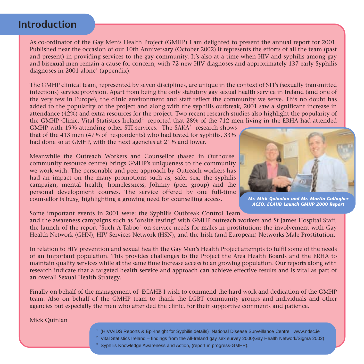### **Introduction**

As co-ordinator of the Gay Men's Health Project (GMHP) I am delighted to present the annual report for 2001. Published near the occasion of our 10th Anniversary (October 2002) it represents the efforts of all the team (past and present) in providing services to the gay community. It's also at a time when HIV and syphilis among gay and bisexual men remain a cause for concern, with 72 new HIV diagnoses and approximately 137 early Syphilis diagnoses in 2001 alone<sup>1</sup> (appendix).

The GMHP clinical team, represented by seven disciplines, are unique in the context of STI's (sexually transmitted infections) service provision. Apart from being the only statutory gay sexual health service in Ireland (and one of the very few in Europe), the clinic environment and staff reflect the community we serve. This no doubt has added to the popularity of the project and along with the syphilis outbreak, 2001 saw a significant increase in attendance (42%) and extra resources for the project. Two recent research studies also highlight the popularity of the GMHP Clinic. Vital Statistics Ireland<sup>2</sup> reported that 28% of the 712 men living in the ERHA had attended

GMHP with 19% attending other STI services. The  $SAKA<sup>3</sup>$  research shows that of the 413 men (47% of respondents) who had tested for syphilis, 33% had done so at GMHP, with the next agencies at 21% and lower.

Meanwhile the Outreach Workers and Counsellor (based in Outhouse, community resource centre) brings GMHP's uniqueness to the community we work with. The personable and peer approach by Outreach workers has had an impact on the many promotions such as; safer sex, the syphilis campaign, mental health, homelessness, Johnny (peer group) and the personal development courses. The service offered by one full-time counsellor is busy, highlighting a growing need for counselling access.



*Mr. Mick Quinalan and Mr. Martin Gallagher ACEO, ECAHB Launch GMHP 2000 Report*

Some important events in 2001 were; the Syphilis Outbreak Control Team

and the awareness campaigns such as "onsite testing" with GMHP outreach workers and St James Hospital Staff; the launch of the report "Such A Taboo" on service needs for males in prostitution; the involvement with Gay Health Network (GHN), HIV Services Network (HSN), and the Irish (and European) Networks Male Prostitution.

In relation to HIV prevention and sexual health the Gay Men's Health Project attempts to fulfil some of the needs of an important population. This provides challenges to the Project the Area Health Boards and the ERHA to maintain quality services while at the same time increase access to an growing population. Our reports along with research indicate that a targeted health service and approach can achieve effective results and is vital as part of an overall Sexual Health Strategy.

Finally on behalf of the management of ECAHB I wish to commend the hard work and dedication of the GMHP team. Also on behalf of the GMHP team to thank the LGBT community groups and individuals and other agencies but especially the men who attended the clinic, for their supportive comments and patience.

Mick Quinlan

- 1 (HIV/AIDS Reports & Epi-Insight for Syphilis details) National Disease Surveillance Centre www.ndsc.ie
- <sup>2</sup> Vital Statistics Ireland findings from the All-Ireland gay sex survey 2000(Gay Health Network/Sigma 2002)
- <sup>3</sup> Syphilis Knowledge Awareness and Action, (report in progress-GMHP).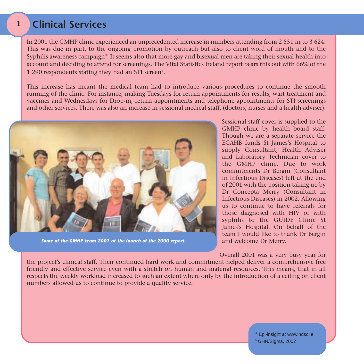#### **Clinical Services1**

In 2001 the GMHP clinic experienced an unprecedented increase in numbers attending from 2 551 in to 3 624. This was due in part, to the ongoing promotion by outreach but also to client word of mouth and to the Syphilis awareness campaign<sup>4</sup>. It seems also that more gay and bisexual men are taking their sexual health into account and deciding to attend for screenings. The Vital Statistics Ireland report bears this out with 66% of the 1 290 respondents stating they had an STI screen<sup>5</sup>.

This increase has meant the medical team had to introduce various procedures to continue the smooth running of the clinic. For instance, making Tuesdays for return appointments for results, wart treatment and vaccines and Wednesdays for Drop-in, return appointments and telephone appointments for STI screenings and other services. There was also an increase in sessional medical staff, (doctors, nurses and a health adviser).



*Some of the GMHP team 2001 at the launch of the 2000 report.*

Sessional staff cover is supplied to the GMHP clinic by health board staff. Though we are a separate service the ECAHB funds St James's Hospital to supply Consultant, Health Adviser and Laboratory Technician cover to the GMHP clinic. Due to workcommitments Dr Bergin (Consultant in Infectious Diseases) left at the end of 2001 with the position taking up by Dr Concepta Merry (Consultant in Infectious Diseases) in 2002. Allowing us to continue to have referrals forthose diagnosed with HIV or with syphilis to the GUIDE Clinic St James's Hospital. On behalf of the team I would like to thank Dr Bergin and welcome Dr Merry.

Overall 2001 was a very busy year for

the project's clinical staff. Their continued hard work and commitment helped deliver a comprehensive free friendly and effective service even with a stretch on human and material resources. This means, that in all respects the weekly workload increased to such an extent where only by the introduction of a ceiling on client numbers allowed us to continue to provide a quality service.

> 4 Epi-insight at www.ndsc.ie 5 GHN/Sigma, 2002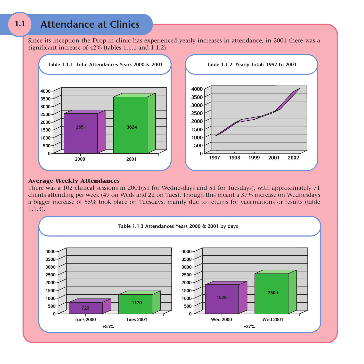#### **1.1Attendance at Clinics**

Since its inception the Drop-in clinic has experienced yearly increases in attendance, in 2001 there was a significant increase of  $42\%$  (tables 1.1.1 and 1.1.2).



#### **Average Weekly Attendances**

There was a 102 clinical sessions in 2001(51 for Wednesdays and 51 for Tuesdays), with approximately 71 clients attending per week (49 on Weds and 22 on Tues). Though this meant a 37% increase on Wednesdays a bigger increase of 55% took place on Tuesdays, mainly due to returns for vaccinations or results (table  $1.1.\overline{3}$ ).

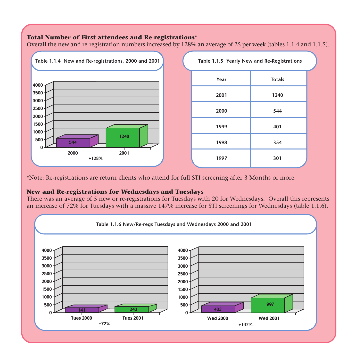#### **Total Number of First-attendees and Re-registrations\***

Overall the new and re-registration numbers increased by 128% an average of 25 per week (tables 1.1.4 and 1.1.5).



\*Note: Re-registrations are return clients who attend for full STI screening after 3 Months or more.

#### **New and Re-registrations for Wednesdays and Tuesdays**

There was an average of 5 new or re-registrations for Tuesdays with 20 for Wednesdays. Overall this represents an increase of 72% for Tuesdays with a massive 147% increase for STI screenings for Wednesdays (table 1.1.6).

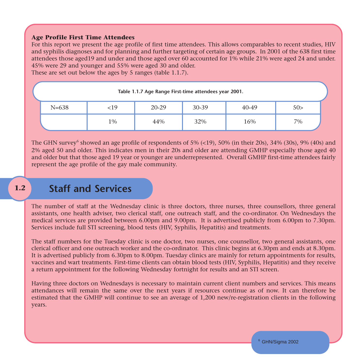#### **Age Profile First Time Attendees**

For this report we present the age profile of first time attendees. This allows comparables to recent studies, HIV and syphilis diagnoses and for planning and further targeting of certain age groups. In 2001 of the 638 first time attendees those aged19 and under and those aged over 60 accounted for 1% while 21% were aged 24 and under. 45% were 29 and younger and 55% were aged 30 and older.

These are set out below the ages by 5 ranges (table 1.1.7).

| Table 1.1.7 Age Range First-time attendees year 2001. |     |       |       |       |     |  |  |
|-------------------------------------------------------|-----|-------|-------|-------|-----|--|--|
| $N = 638$                                             | <19 | 20-29 | 30-39 | 40-49 | 50> |  |  |
|                                                       | 1%  | 44%   | 32%   | 16%   | 7%  |  |  |

The GHN survey<sup>6</sup> showed an age profile of respondents of  $5\%$  (<19),  $50\%$  (in their 20s),  $34\%$  (30s),  $9\%$  (40s) and 2% aged 50 and older. This indicates men in their 20s and older are attending GMHP especially those aged 40 and older but that those aged 19 year or younger are underrepresented. Overall GMHP first-time attendees fairly represent the age profile of the gay male community.

#### **1.2Staff and Services**

The number of staff at the Wednesday clinic is three doctors, three nurses, three counsellors, three general assistants, one health adviser, two clerical staff, one outreach staff, and the co-ordinator. On Wednesdays the medical services are provided between 6.00pm and 9.00pm. It is advertised publicly from 6.00pm to 7.30pm. Services include full STI screening, blood tests (HIV, Syphilis, Hepatitis) and treatments.

The staff numbers for the Tuesday clinic is one doctor, two nurses, one counsellor, two general assistants, one clerical officer and one outreach worker and the co-ordinator. This clinic begins at 6.30pm and ends at 8.30pm. It is advertised publicly from 6.30pm to 8.00pm. Tuesday clinics are mainly for return appointments for results, vaccines and wart treatments. First-time clients can obtain blood tests (HIV, Syphilis, Hepatitis) and they receive a return appointment for the following Wednesday fortnight for results and an STI screen.

Having three doctors on Wednesdays is necessary to maintain current client numbers and services. This means attendances will remain the same over the next years if resources continue as of now. It can therefore be estimated that the GMHP will continue to see an average of 1,200 new/re-registration clients in the following years.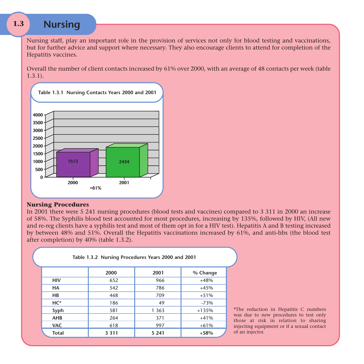#### **1.3Nursing**

Nursing staff, play an important role in the provision of services not only for blood testing and vaccinations, but for further advice and support where necessary. They also encourage clients to attend for completion of the Hepatitis vaccines.

Overall the number of client contacts increased by 61% over 2000, with an average of 48 contacts per week (table 1.3.1).



#### **Nursing Procedures**

In 2001 there were 5 241 nursing procedures (blood tests and vaccines) compared to 3 311 in 2000 an increase of 58%. The Syphilis blood test accounted for most procedures, increasing by 135%, followed by HIV, (All new and re-reg clients have a syphilis test and most of them opt in for a HIV test). Hepatitis A and B testing increased by between 48% and 51%. Overall the Hepatitis vaccinations increased by 61%, and anti-hbs (the blood test after completion) by 40% (table 1.3.2).

| Table 1.3.2 Nursing Procedures Years 2000 and 2001 |         |         |          |  |  |
|----------------------------------------------------|---------|---------|----------|--|--|
|                                                    | 2000    | 2001    | % Change |  |  |
| <b>HIV</b>                                         | 652     | 966     | $+48%$   |  |  |
| HA                                                 | 542     | 786     | $+45%$   |  |  |
| HB                                                 | 468     | 709     | $+51%$   |  |  |
| HC*                                                | 186     | 49      | $-73%$   |  |  |
| Syph                                               | 581     | 1 3 6 3 | $+135%$  |  |  |
| <b>AHB</b>                                         | 264     | 371     | $+41%$   |  |  |
| <b>VAC</b>                                         | 618     | 997     | $+61%$   |  |  |
| <b>Total</b>                                       | 3 3 1 1 | 5 2 4 1 | $+58%$   |  |  |

\*The reduction in Hepatitis C numbers was due to new procedures to test only those at risk in relation to sharing injecting equipment or if a sexual contact of an injector.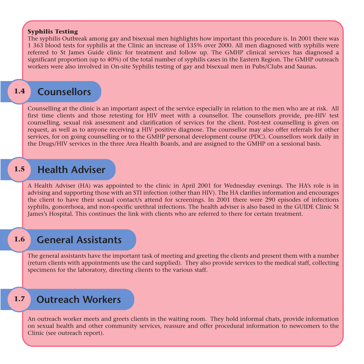#### **Syphilis Testing**

The syphilis Outbreak among gay and bisexual men highlights how important this procedure is. In 2001 there was 1 363 blood tests for syphilis at the Clinic an increase of 135% over 2000. All men diagnosed with syphilis were referred to St James Guide clinic for treatment and follow up. The GMHP clinical services has diagnosed a significant proportion (up to 40%) of the total number of syphilis cases in the Eastern Region. The GMHP outreach workers were also involved in On-site Syphilis testing of gay and bisexual men in Pubs/Clubs and Saunas.

#### **1.4Counsellors**

Counselling at the clinic is an important aspect of the service especially in relation to the men who are at risk. All first time clients and those retesting for HIV meet with a counsellor. The counsellors provide, pre-HIV test counselling, sexual risk assessment and clarification of services for the client. Post-test counselling is given on request, as well as to anyone receiving a HIV positive diagnose. The counsellor may also offer referrals for other services, for on going counselling or to the GMHP personal development course (PDC). Counsellors work daily in the Drugs/HIV services in the three Area Health Boards, and are assigned to the GMHP on a sessional basis.

#### **1.5Health Adviser**

A Health Adviser (HA) was appointed to the clinic in April 2001 for Wednesday evenings. The HA's role is in advising and supporting those with an STI infection (other than HIV). The HA clarifies information and encourages the client to have their sexual contact/s attend for screenings. In 2001 there were 290 episodes of infections syphilis, gonorrhoea, and non-specific urethral infections. The health adviser is also based in the GUIDE Clinic St James's Hospital. This continues the link with clients who are referred to there for certain treatment.

#### **1.6General Assistants**

The general assistants have the important task of meeting and greeting the clients and present them with a number (return clients with appointments use the card supplied). They also provide services to the medical staff, collecting specimens for the laboratory, directing clients to the various staff.

#### **1.7Outreach Workers**

An outreach worker meets and greets clients in the waiting room. They hold informal chats, provide information on sexual health and other community services, reassure and offer procedural information to newcomers to the Clinic (see outreach report).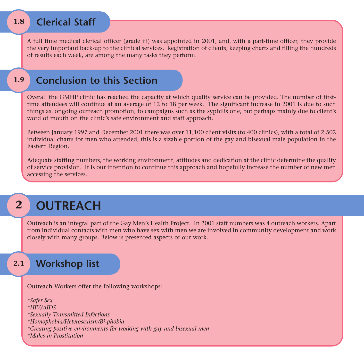#### **1.8Clerical Staff**

A full time medical clerical officer (grade iii) was appointed in 2001, and, with a part-time officer, they provide the very important back-up to the clinical services. Registration of clients, keeping charts and filling the hundreds of results each week, are among the many tasks they perform.

#### **1.9Conclusion to this Section**

Overall the GMHP clinic has reached the capacity at which quality service can be provided. The number of firsttime attendees will continue at an average of 12 to 18 per week. The significant increase in 2001 is due to such things as, ongoing outreach promotion, to campaigns such as the syphilis one, but perhaps mainly due to client's word of mouth on the clinic's safe environment and staff approach.

Between January 1997 and December 2001 there was over 11,100 client visits (to 400 clinics), with a total of 2,502 individual charts for men who attended, this is a sizable portion of the gay and bisexual male population in the Eastern Region.

Adequate staffing numbers, the working environment, attitudes and dedication at the clinic determine the quality of service provision. It is our intention to continue this approach and hopefully increase the number of new men accessing the services.

## **2**

## **OUTREACH**

Outreach is an integral part of the Gay Men's Health Project. In 2001 staff numbers was 4 outreach workers. Apart from individual contacts with men who have sex with men we are involved in community development and work closely with many groups. Below is presented aspects of our work.

#### **2.1Workshop list**

Outreach Workers offer the following workshops:

*\*Safer Sex \*HIV/AIDS \*Sexually Transmitted Infections \*Homophobia/Heterosexism/Bi-phobia \*Creating positive environments for working with gay and bisexual men \*Males in Prostitution*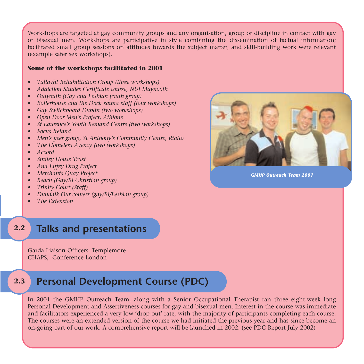Workshops are targeted at gay community groups and any organisation, group or discipline in contact with gay or bisexual men. Workshops are participative in style combining the dissemination of factual information; facilitated small group sessions on attitudes towards the subject matter, and skill-building work were relevant (example safer sex workshops).

#### **Some of the workshops facilitated in 2001**

- *• Tallaght Rehabilitation Group (three workshops)*
- *• Addiction Studies Certificate course, NUI Maynooth*
- *• Outyouth (Gay and Lesbian youth group)*
- *• Boilerhouse and the Dock sauna staff (four workshops)*
- *• Gay Switchboard Dublin (two workshops)*
- *• Open Door Men's Project, Athlone*
- *• St Laurence's Youth Remand Centre (two workshops)*
- *• Focus Ireland*
- *• Men's peer group, St Anthony's Community Centre, Rialto*
- *• The Homeless Agency (two workshops)*
- *• Accord*
- *• Smiley House Trust*
- *• Ana Liffey Drug Project*
- *• Merchants Quay Project*
- *• Reach (Gay/Bi Christian group)*
- *• Trinity Court (Staff)*
- *• Dundalk Out-comers (gay/Bi/Lesbian group)*
- *• The Extension*
- **2.2Talks and presentations**

Garda Liaison Officers, Templemore CHAPS, Conference London

#### **2.3Personal Development Course (PDC)**

In 2001 the GMHP Outreach Team, along with a Senior Occupational Therapist ran three eight-week long Personal Development and Assertiveness courses for gay and bisexual men. Interest in the course was immediate and facilitators experienced a very low 'drop out' rate, with the majority of participants completing each course. The courses were an extended version of the course we had initiated the previous year and has since become an on-going part of our work. A comprehensive report will be launched in 2002. (see PDC Report July 2002)



*GMHP Outreach Team 2001*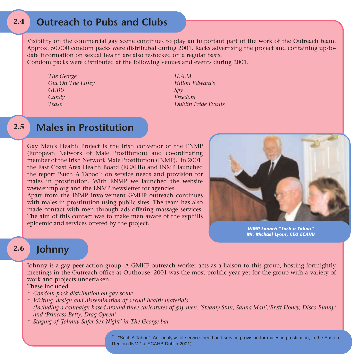#### **2.4Outreach to Pubs and Clubs**

Visibility on the commercial gay scene continues to play an important part of the work of the Outreach team. Approx. 50,000 condom packs were distributed during 2001. Racks advertising the project and containing up-todate information on sexual health are also restocked on a regular basis.

Condom packs were distributed at the following venues and events during 2001.

- *The George H.A.M Out On The Liffey Hilton Edward's GUBU Spy Candy Freedom*
- *Tease Dublin Pride Events*

#### **2.5Males in Prostitution**

Gay Men's Health Project is the Irish convenor of the ENMP (European Network of Male Prostitution) and co-ordinating member of the Irish Network Male Prostitution (INMP). In 2001, the East Coast Area Health Board (ECAHB) and INMP launched the report "Such A Taboo"7 on service needs and provision for males in prostitution. With ENMP we launched the website www.enmp.org and the ENMP newsletter for agencies.

Apart from the INMP involvement GMHP outreach continues with males in prostitution using public sites. The team has also made contact with men through ads offering massage services. The aim of this contact was to make men aware of the syphilis epidemic and services offered by the project.



*INMP Launch "Such a Taboo''Mr. Michael Lyons, CEO ECAHB*

#### **2.6Johnny**

Johnny is a gay peer action group. A GMHP outreach worker acts as a liaison to this group, hosting fortnightly meetings in the Outreach office at Outhouse. 2001 was the most prolific year yet for the group with a variety of work and projects undertaken.

These included:

- *\* Condom pack distribution on gay scene*
- *\* Writing, design and dissemination of sexual health materials (Including a campaign based around three caricatures of gay men: 'Steamy Stan, Sauna Man','Brett Honey, Disco Bunny' and 'Princess Betty, Drag Queen'*
- *\* Staging of 'Johnny Safer Sex Night' in The George bar*

 $7$  "Such A Taboo" An analysis of service need and service provision for males in prostitution, in the Eastern Region (INMP & ECAHB Dublin 2001)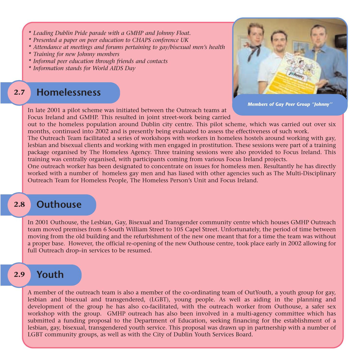- *\* Leading Dublin Pride parade with a GMHP and Johnny Float.*
- *\* Presented a paper on peer education to CHAPS conference UK*
- *\* Attendance at meetings and forums pertaining to gay/bisexual men's health*
- *\* Training for new Johnny members*
- *\* Informal peer education through friends and contacts*
- *\* Information stands for World AIDS Day*

#### **2.7Homelessness**



*Members of Gay Peer Group "Johnny''*

In late 2001 a pilot scheme was initiated between the Outreach teams at Focus Ireland and GMHP. This resulted in joint street-work being carried

out to the homeless population around Dublin city centre. This pilot scheme, which was carried out over six months, continued into 2002 and is presently being evaluated to assess the effectiveness of such work.

The Outreach Team facilitated a series of workshops with workers in homeless hostels around working with gay, lesbian and bisexual clients and working with men engaged in prostitution. These sessions were part of a training package organised by The Homeless Agency. Three training sessions were also provided to Focus Ireland. This training was centrally organised, with participants coming from various Focus Ireland projects.

One outreach worker has been designated to concentrate on issues for homeless men. Resultantly he has directly worked with a number of homeless gay men and has liased with other agencies such as The Multi-Disciplinary Outreach Team for Homeless People, The Homeless Person's Unit and Focus Ireland.

#### **2.8Outhouse**

In 2001 Outhouse, the Lesbian, Gay, Bisexual and Transgender community centre which houses GMHP Outreach team moved premises from 6 South William Street to 105 Capel Street. Unfortunately, the period of time between moving from the old building and the refurbishment of the new one meant that for a time the team was without a proper base. However, the official re-opening of the new Outhouse centre, took place early in 2002 allowing for full Outreach drop–in services to be resumed.

#### **2.9Youth**

A member of the outreach team is also a member of the co-ordinating team of OutYouth, a youth group for gay, lesbian and bisexual and transgendered, (LGBT), young people. As well as aiding in the planning and development of the group he has also co-facilitated, with the outreach worker from Outhouse, a safer sex workshop with the group. GMHP outreach has also been involved in a multi-agency committee which has submitted a funding proposal to the Department of Education, seeking financing for the establishment of a lesbian, gay, bisexual, transgendered youth service. This proposal was drawn up in partnership with a number of LGBT community groups, as well as with the City of Dublin Youth Services Board.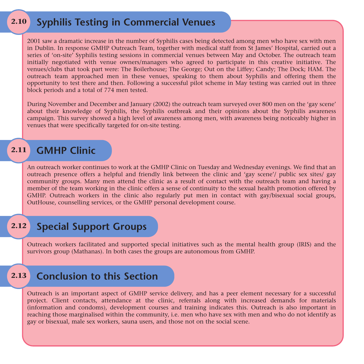#### **2.10Syphilis Testing in Commercial Venues**

2001 saw a dramatic increase in the number of Syphilis cases being detected among men who have sex with men in Dublin. In response GMHP Outreach Team, together with medical staff from St James' Hospital, carried out a series of 'on-site' Syphilis testing sessions in commercial venues between May and October. The outreach team initially negotiated with venue owners/managers who agreed to participate in this creative initiative. The venues/clubs that took part were: The Boilerhouse; The George; Out on the Liffey; Candy; The Dock; HAM. The outreach team approached men in these venues, speaking to them about Syphilis and offering them the opportunity to test there and then. Following a successful pilot scheme in May testing was carried out in three block periods and a total of 774 men tested.

During November and December and January (2002) the outreach team surveyed over 800 men on the 'gay scene' about their knowledge of Syphilis, the Syphilis outbreak and their opinions about the Syphilis awareness campaign. This survey showed a high level of awareness among men, with awareness being noticeably higher in venues that were specifically targeted for on-site testing.

#### **2.11GMHP Clinic**

An outreach worker continues to work at the GMHP Clinic on Tuesday and Wednesday evenings. We find that an outreach presence offers a helpful and friendly link between the clinic and 'gay scene'/ public sex sites/ gay community groups. Many men attend the clinic as a result of contact with the outreach team and having a member of the team working in the clinic offers a sense of continuity to the sexual health promotion offered by GMHP. Outreach workers in the clinic also regularly put men in contact with gay/bisexual social groups, OutHouse, counselling services, or the GMHP personal development course.

#### **2.12Special Support Groups**

Outreach workers facilitated and supported special initiatives such as the mental health group (IRIS) and the survivors group (Mathanas). In both cases the groups are autonomous from GMHP.

#### **2.13Conclusion to this Section**

Outreach is an important aspect of GMHP service delivery, and has a peer element necessary for a successful project. Client contacts, attendance at the clinic, referrals along with increased demands for materials (information and condoms), development courses and training indicates this. Outreach is also important in reaching those marginalised within the community, i.e. men who have sex with men and who do not identify as gay or bisexual, male sex workers, sauna users, and those not on the social scene.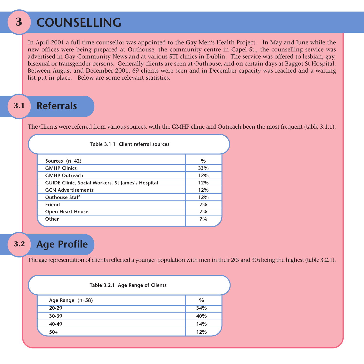#### **3COUNSELLING**

In April 2001 a full time counsellor was appointed to the Gay Men's Health Project. In May and June while the new offices were being prepared at Outhouse, the community centre in Capel St., the counselling service was advertised in Gay Community News and at various STI clinics in Dublin. The service was offered to lesbian, gay, bisexual or transgender persons. Generally clients are seen at Outhouse, and on certain days at Baggot St Hospital. Between August and December 2001, 69 clients were seen and in December capacity was reached and a waiting list put in place. Below are some relevant statistics.

#### **3.1Referrals**

The Clients were referred from various sources, with the GMHP clinic and Outreach been the most frequent (table 3.1.1).

| Table 3.1.1 Client referral sources                      |       |  |  |
|----------------------------------------------------------|-------|--|--|
| Sources $(n=42)$                                         | $\%$  |  |  |
| <b>GMHP Clinics</b>                                      | 33%   |  |  |
| <b>GMHP Outreach</b>                                     | 12%   |  |  |
| <b>GUIDE Clinic, Social Workers, St James's Hospital</b> | 12%   |  |  |
| <b>GCN Advertisements</b>                                | 12%   |  |  |
| <b>Outhouse Staff</b>                                    | 12%   |  |  |
| Friend                                                   | $7\%$ |  |  |
| <b>Open Heart House</b>                                  | 7%    |  |  |
| Other                                                    | 7%    |  |  |
|                                                          |       |  |  |

#### **3.2Age Profile**

The age representation of clients reflected a younger population with men in their 20s and 30s being the highest (table 3.2.1).

| Table 3.2.1 Age Range of Clients |      |
|----------------------------------|------|
| Age Range (n=58)                 | $\%$ |
| $20 - 29$                        | 34%  |
| 30-39                            | 40%  |
| 40-49                            | 14%  |
| $50+$                            | 12%  |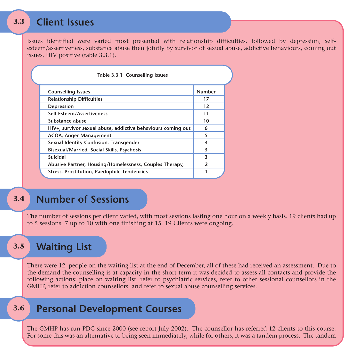#### **3.3Client Issues**

Issues identified were varied most presented with relationship difficulties, followed by depression, selfesteem/assertiveness, substance abuse then jointly by survivor of sexual abuse, addictive behaviours, coming out issues, HIV positive (table 3.3.1).

| Table 3.3.1 Counselling Issues                               |               |
|--------------------------------------------------------------|---------------|
| <b>Counselling Issues</b>                                    | <b>Number</b> |
| <b>Relationship Difficulties</b>                             | 17            |
| Depression                                                   | 12            |
| Self Esteem/Assertiveness                                    | 11            |
| Substance abuse                                              | 10            |
| HIV+, survivor sexual abuse, addictive behaviours coming out | 6             |
| <b>ACOA, Anger Management</b>                                | 5             |
| Sexual Identity Confusion, Transgender                       | 4             |
| <b>Bisexual/Married, Social Skills, Psychosis</b>            | 3             |
| Suicidal                                                     | 3             |
| Abusive Partner, Housing/Homelessness, Couples Therapy,      | $\mathfrak z$ |
| <b>Stress, Prostitution, Paedophile Tendencies</b>           |               |

#### **3.4Number of Sessions**

The number of sessions per client varied, with most sessions lasting one hour on a weekly basis. 19 clients had up to 5 sessions, 7 up to 10 with one finishing at 15. 19 Clients were ongoing.

#### **3.5Waiting List**

There were 12 people on the waiting list at the end of December, all of these had received an assessment. Due to the demand the counselling is at capacity in the short term it was decided to assess all contacts and provide the following actions: place on waiting list, refer to psychiatric services, refer to other sessional counsellors in the GMHP, refer to addiction counsellors, and refer to sexual abuse counselling services.

#### **3.6Personal Development Courses**

The GMHP has run PDC since 2000 (see report July 2002). The counsellor has referred 12 clients to this course. For some this was an alternative to being seen immediately, while for others, it was a tandem process. The tandem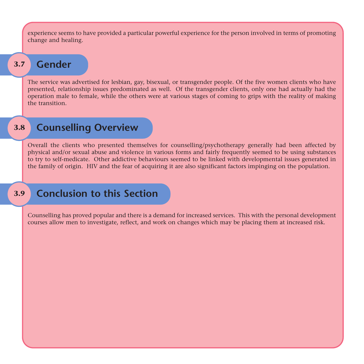experience seems to have provided a particular powerful experience for the person involved in terms of promoting change and healing.

#### **3.7z** Gender

The service was advertised for lesbian, gay, bisexual, or transgender people. Of the five women clients who have presented, relationship issues predominated as well. Of the transgender clients, only one had actually had the operation male to female, while the others were at various stages of coming to grips with the reality of making the transition.

#### **3.8Counselling Overview**

Overall the clients who presented themselves for counselling/psychotherapy generally had been affected by physical and/or sexual abuse and violence in various forms and fairly frequently seemed to be using substances to try to self-medicate. Other addictive behaviours seemed to be linked with developmental issues generated in the family of origin. HIV and the fear of acquiring it are also significant factors impinging on the population.

#### **3.9Conclusion to this Section**

Counselling has proved popular and there is a demand for increased services. This with the personal development courses allow men to investigate, reflect, and work on changes which may be placing them at increased risk.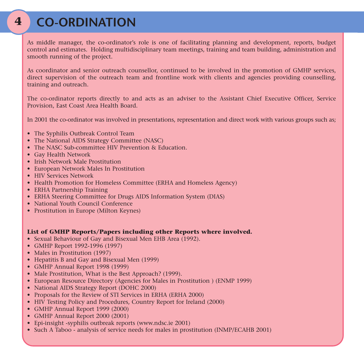## **CO-ORDINATION**

As middle manager, the co-ordinator's role is one of facilitating planning and development, reports, budget control and estimates. Holding multidisciplinary team meetings, training and team building, administration and smooth running of the project.

As coordinator and senior outreach counsellor, continued to be involved in the promotion of GMHP services, direct supervision of the outreach team and frontline work with clients and agencies providing counselling, training and outreach.

The co-ordinator reports directly to and acts as an adviser to the Assistant Chief Executive Officer, Service Provision, East Coast Area Health Board.

In 2001 the co-ordinator was involved in presentations, representation and direct work with various groups such as;

- The Syphilis Outbreak Control Team
- The National AIDS Strategy Committee (NASC)
- The NASC Sub-committee HIV Prevention & Education.
- Gay Health Network
- Irish Network Male Prostitution
- European Network Males In Prostitution
- HIV Services Network
- Health Promotion for Homeless Committee (ERHA and Homeless Agency)
- ERHA Partnership Training
- ERHA Steering Committee for Drugs AIDS Information System (DIAS)
- National Youth Council Conference
- Prostitution in Europe (Milton Keynes)

#### **List of GMHP Reports/Papers including other Reports where involved.**

- Sexual Behaviour of Gay and Bisexual Men EHB Area (1992).
- GMHP Report 1992-1996 (1997)
- Males in Prostitution (1997)
- Hepatitis B and Gay and Bisexual Men (1999)
- GMHP Annual Report 1998 (1999)
- Male Prostitution, What is the Best Approach? (1999).
- European Resource Directory (Agencies for Males in Prostitution ) (ENMP 1999)
- National AIDS Strategy Report (DOHC 2000)
- Proposals for the Review of STI Services in ERHA (ERHA 2000)
- HIV Testing Policy and Procedures, Country Report for Ireland (2000)
- GMHP Annual Report 1999 (2000)
- GMHP Annual Report 2000 (2001)
- Epi-insight -syphilis outbreak reports (www.ndsc.ie 2001)
- Such A Taboo analysis of service needs for males in prostitution (INMP/ECAHB 2001)

**4**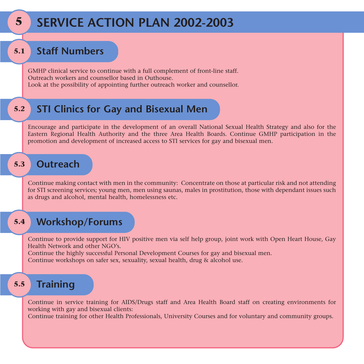## **SERVICE ACTION PLAN 2002-2003**

#### **5.1Staff Numbers**

**5**

GMHP clinical service to continue with a full complement of front-line staff. Outreach workers and counsellor based in Outhouse.Look at the possibility of appointing further outreach worker and counsellor.

#### **5.2STI Clinics for Gay and Bisexual Men**

Encourage and participate in the development of an overall National Sexual Health Strategy and also for the Eastern Regional Health Authority and the three Area Health Boards. Continue GMHP participation in the promotion and development of increased access to STI services for gay and bisexual men.

#### **5.3Outreach**

Continue making contact with men in the community: Concentrate on those at particular risk and not attending for STI screening services; young men, men using saunas, males in prostitution, those with dependant issues such as drugs and alcohol, mental health, homelessness etc.

#### **5.4Workshop/Forums**

Continue to provide support for HIV positive men via self help group, joint work with Open Heart House, Gay Health Network and other NGO's.

Continue the highly successful Personal Development Courses for gay and bisexual men. Continue workshops on safer sex, sexuality, sexual health, drug & alcohol use.

#### **5.5Training**

Continue in service training for AIDS/Drugs staff and Area Health Board staff on creating environments for working with gay and bisexual clients:

Continue training for other Health Professionals, University Courses and for voluntary and community groups.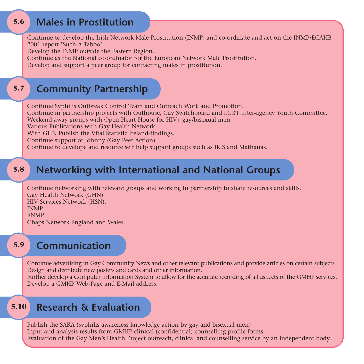#### **5.6Males in Prostitution**

Continue to develop the Irish Network Male Prostitution (INMP) and co-ordinate and act on the INMP/ECAHB 2001 report "Such A Taboo".

Develop the INMP outside the Eastern Region.

Continue as the National co-ordinator for the European Network Male Prostitution.

Develop and support a peer group for contacting males in prostitution.

#### **5.7Community Partnership**

Continue Syphilis Outbreak Control Team and Outreach Work and Promotion. Continue in partnership projects with Outhouse, Gay Switchboard and LGBT Inter-agency Youth Committee. Weekend away groups with Open Heart House for HIV+ gay/bisexual men. Various Publications with Gay Health Network.

With GHN Publish the Vital Statistic Ireland-findings.

Continue support of Johnny (Gay Peer Action).

Continue to develope and resource self help support groups such as IRIS and Mathanas.

#### **5.8Networking with International and National Groups**

Continue networking with relevant groups and working in partnership to share resources and skills. Gay Health Network (GHN). HIV Services Network (HSN). INMP.ENMP.Chaps Network England and Wales.

#### **5.9Communication**

Continue advertising in Gay Community News and other relevant publications and provide articles on certain subjects. Design and distribute new posters and cards and other information.

Further develop a Computer Information System to allow for the accurate recording of all aspects of the GMHP services. Develop a GMHP Web-Page and E-Mail address.

#### **5.10Research & Evaluation**

Publish the SAKA (syphilis awareness knowledge action by gay and bisexual men) Input and analysis results from GMHP clinical (confidential) counselling profile forms. Evaluation of the Gay Men's Health Project outreach, clinical and counselling service by an independent body.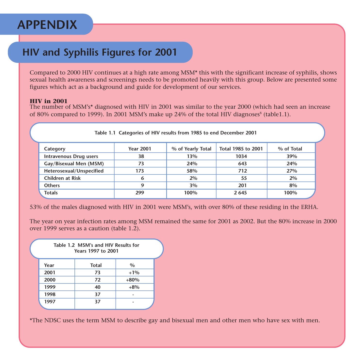## **APPENDIX**

### **HIV and Syphilis Figures for 2001**

Compared to 2000 HIV continues at a high rate among MSM\* this with the significant increase of syphilis, shows sexual health awareness and screenings needs to be promoted heavily with this group. Below are presented some figures which act as a background and guide for development of our services.

#### **HIV in 2001**

 The number of MSM's\* diagnosed with HIV in 2001 was similar to the year 2000 (which had seen an increase of 80% compared to 1999). In 2001 MSM's make up 24% of the total HIV diagnoses<sup>8</sup> (table1.1).

| Table 1.1 Categories of HIV results from 1985 to end December 2001 |                  |                   |                    |            |  |
|--------------------------------------------------------------------|------------------|-------------------|--------------------|------------|--|
| Category                                                           | <b>Year 2001</b> | % of Yearly Total | Total 1985 to 2001 | % of Total |  |
| <b>Intravenous Drug users</b>                                      | 38               | 13%               | 1034               | 39%        |  |
| Gay/Bisexual Men (MSM)                                             | 73               | 24%               | 643                | 24%        |  |
| Heterosexual/Unspecified                                           | 173              | 58%               | 712                | 27%        |  |
| Children at Risk                                                   | 6                | 2%                | 55                 | 2%         |  |
| <b>Others</b>                                                      | 9                | 3%                | 201                | 8%         |  |
| <b>Totals</b>                                                      | 299              | 100%              | 2 6 4 5            | 100%       |  |

53% of the males diagnosed with HIV in 2001 were MSM's, with over 80% of these residing in the ERHA.

The year on year infection rates among MSM remained the same for 2001 as 2002. But the 80% increase in 2000 over 1999 serves as a caution (table 1.2).

| Table 1.2 MSM's and HIV Results for<br>Years 1997 to 2001 |              |        |  |  |  |
|-----------------------------------------------------------|--------------|--------|--|--|--|
| Year                                                      | <b>Total</b> | $\%$   |  |  |  |
| 2001                                                      | 73           | $+1\%$ |  |  |  |
| 2000                                                      | 72           | $+80%$ |  |  |  |
| 1999                                                      | 40           | $+8%$  |  |  |  |
| 1998                                                      | 37           |        |  |  |  |
| 1997                                                      | 37           |        |  |  |  |
|                                                           |              |        |  |  |  |

\*The NDSC uses the term MSM to describe gay and bisexual men and other men who have sex with men.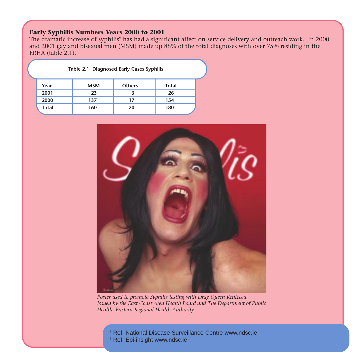#### **Early Syphilis Numbers Years 2000 to 2001**

The dramatic increase of syphilis<sup>9</sup> has had a significant affect on service delivery and outreach work. In 2000 and 2001 gay and bisexual men (MSM) made up 88% of the total diagnoses with over 75% residing in the ERHA (table 2.1).

|              | Table 2.1 Diagnosed Early Cases Syphilis |               |       |  |
|--------------|------------------------------------------|---------------|-------|--|
| Year         | <b>MSM</b>                               | <b>Others</b> | Total |  |
| 2001         | 23                                       | ર             | 26    |  |
| 2000         | 137                                      | 17            | 154   |  |
| <b>Total</b> | 160                                      | 20            | 180   |  |



*Poster used to promote Syphilis testing with Drag Queen Rentecca. Issued by the East Coast Area Health Board and The Department of Public Health, Eastern Regional Health Authority.*

<sup>8</sup> Ref: National Disease Surveillance Centre www.ndsc.ie

9 Ref: Epi-insight www.ndsc.ie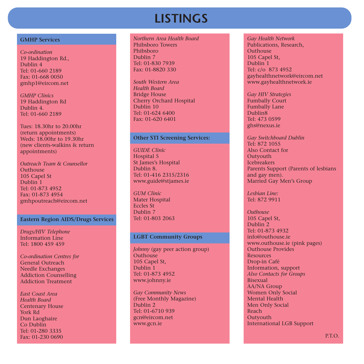## **LISTINGS**

#### **GMHP Services**

*Co-ordination*19 Haddington Rd., Dublin 4Tel: 01-660 2189Fax: 01-668 0050 gmhp1@eircom.net

*GMHP Clinics*19 Haddington Rd Dublin 4.Tel: 01-660 2189

Tues: 18.30hr to 20.00hr (return appointments) Weds: 18.00hr to 19.30hr (new clients-walkins & return appointments)

*Outreach Team & Counsellor***Outhouse** 105 Capel St Dublin 1 Tel: 01-873 4952Fax: 01-873 4954gmhpoutreach@eircom.net

#### **Eastern Region AIDS/Drugs Services**

*Drugs/HIV Telephone* Information LineTel: 1800 459 459

*Co-ordination Centres for* General OutreachNeedle Exchanges Addiction Counselling Addiction Treatment

*East Coast Area Health Board*Centenary House York RdDun Laoghaire Co DublinTel: 01-280 3335Fax: 01-230 0690

#### *Northern Area Health Board*Phibsboro TowersPhibsboroDublin 7Tel: 01-830 7939Fax: 01-8820 330

*South Western Area Health Board*Bridge House Cherry Orchard Hospital Dublin 10Tel: 01-624 6400Fax: 01-620 6401

#### **Other STI Screening Services:**

*GUIDE Clinic*Hospital 5 St James's Hospital Dublin 8.Tel: 01-416 2315/2316 www.guide@stjames.ie

*GUM Clinic*Mater Hospital Eccles StDublin 7Tel: 01-803 2063

#### **LGBT Community Groups**

*Johnny* (gay peer action group) **Outhouse** 105 Capel St, Dublin<sup>1</sup> Tel: 01-873 4952www.johnny.ie

*Gay Community News* (Free Monthly Magazine) Dublin 2 Tel: 01-6710 939gcn@eircom.net www.gcn.ie

*Gay Health Network* Publications, Research, **Outhouse** 105 Capel St, Dublin 1Tel: c/o 873 4952 gayhealthnetwork@eircom.net www.gayhealthnetwork.ie

*Gay HIV Strategies* Fumbally Court Fumbally Lane Dublin8 Tel: 473 0599ghs@nexus.ie

*Gay Switchboard Dublin* Tel: 872 1055Also Contact for **Outyouth Icebreakers** Parents Support (Parents of lesbians and gay men). Married Gay Men's Group

*Lesbian Line:* Tel: 872 9911

*Outhouse*105 Capel St, Dublin 2Tel: 01-873 4932info@outhouse.ie www.outhouse.ie (pink pages) Outhouse Provides ResourcesDrop-in Café Information, support *Also Contacts for Groups* BisexualAA/NA Group Women Only Social Mental Health Men Only Social ReachOutyouth International LGB Support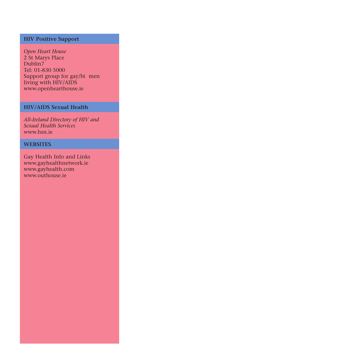#### **HIV Positive Support**

*Open Heart House* 2 St Marys Place Dublin7 Tel: 01-830 5000 Support group for gay/bi men living with HIV/AIDS www.openhearthouse.ie

#### **HIV/AIDS Sexual Health**

*All-Ireland Directory of HIV and Sexual Health Services*  www.hsn.ie

#### **WEBSITES**

Gay Health Info and Links www.gayhealthnetwork.ie www.gayhealth.com www.outhouse.ie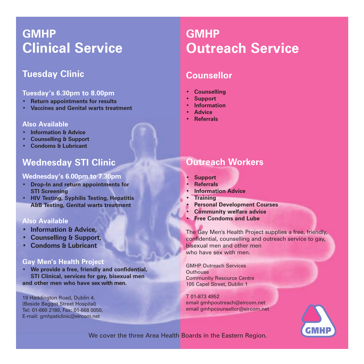## **GMHPClinical Service**

### **Tuesday Clinic**

#### **Tuesday's 6.30pm to 8.00pm**

- **• Return appointments for results**
- **• Vaccines and Genital warts treatment**

#### **Also Available**

- **• Information & Advice**
- **• Counselling & Support**
- **• Condoms & Lubricant**

### **Wednesday STI Clinic**

#### **Wednesday's 6.00pm to 7.30pm**

- **• Drop-In and return appointments for STI Screening**
- **• HIV Testing, Syphilis Testing, Hepatitis A&B Testing, Genital warts treatment**

#### **Also Available**

- **• Information & Advice,**
- **• Counselling & Support,**
- **• Condoms & Lubricant**

#### **Gay Men's Health Project**

**• We provide a free, friendly and confidential, STI Clinical, services for gay, bisexual men and other men who have sex with men.**

19 Haddington Road, Dublin 4. (Beside Baggot Street Hospital) Tel: 01-660 2189, Fax: 01-668 0050, E-mail: gmhpsticlinic@eircom.net

## **GMHPOutreach Service**

### **Counsellor**

- **• Counselling**
- **Support**
- **Information**
- **Advice**
- **• Referrals**

### **Outreach Workers**

- **• Support**
- **Referrals**
- **• Information Advice**
- **Training**
- **• Personal Development Courses**
- **• Community welfare advice**
- **• Free Condoms and Lube**

The Gay Men's Health Project supplies a free, friendly, confidential, counselling and outreach service to gay, bisexual men and other men who have sex with men.

GMHP Outreach Services**Outhouse** Community Resource Centre 105 Capel Street, Dublin 1

T 01-873 4952email gmhpoutreach@eircom.net email gmhpcounsellor@eircom.net



We cover the three Area Health Boards in the Eastern Region.